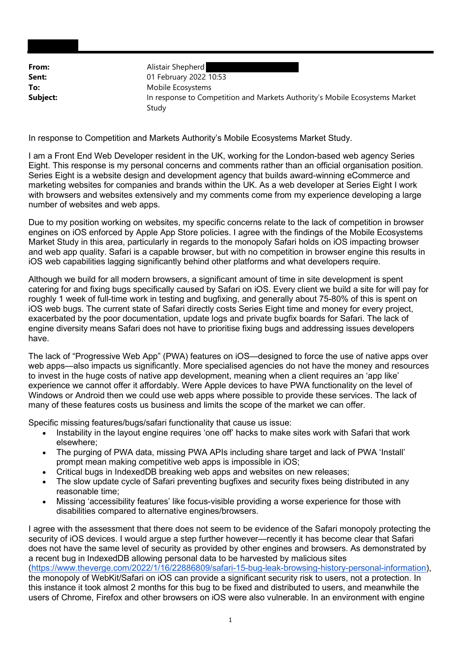**From:** Alistair Shepherd **Sent:** 01 February 2022 10:53 **Subject:** In response to Competition and Markets Authority's Mobile Ecosystems Market To: Mobile Ecosystems Study

In response to Competition and Markets Authority's Mobile Ecosystems Market Study.

 I am a Front End Web Developer resident in the UK, working for the London-based web agency Series Eight. This response is my personal concerns and comments rather than an official organisation position. Series Eight is a website design and development agency that builds award-winning eCommerce and marketing websites for companies and brands within the UK. As a web developer at Series Eight I work with browsers and websites extensively and my comments come from my experience developing a large number of websites and web apps.

 Due to my position working on websites, my specific concerns relate to the lack of competition in browser engines on iOS enforced by Apple App Store policies. I agree with the findings of the Mobile Ecosystems Market Study in this area, particularly in regards to the monopoly Safari holds on iOS impacting browser and web app quality. Safari is a capable browser, but with no competition in browser engine this results in iOS web capabilities lagging significantly behind other platforms and what developers require.

 Although we build for all modern browsers, a significant amount of time in site development is spent catering for and fixing bugs specifically caused by Safari on iOS. Every client we build a site for will pay for roughly 1 week of full-time work in testing and bugfixing, and generally about 75-80% of this is spent on iOS web bugs. The current state of Safari directly costs Series Eight time and money for every project, exacerbated by the poor documentation, update logs and private bugfix boards for Safari. The lack of engine diversity means Safari does not have to prioritise fixing bugs and addressing issues developers have.

 The lack of "Progressive Web App" (PWA) features on iOS—designed to force the use of native apps over web apps—also impacts us significantly. More specialised agencies do not have the money and resources to invest in the huge costs of native app development, meaning when a client requires an 'app like' experience we cannot offer it affordably. Were Apple devices to have PWA functionality on the level of Windows or Android then we could use web apps where possible to provide these services. The lack of many of these features costs us business and limits the scope of the market we can offer.

Specific missing features/bugs/safari functionality that cause us issue:

- Instability in the layout engine requires 'one off' hacks to make sites work with Safari that work elsewhere;
- The purging of PWA data, missing PWA APIs including share target and lack of PWA 'Install' prompt mean making competitive web apps is impossible in iOS;
- Critical bugs in IndexedDB breaking web apps and websites on new releases;
- The slow update cycle of Safari preventing bugfixes and security fixes being distributed in any reasonable time;
- Missing 'accessibility features' like focus-visible providing a worse experience for those with disabilities compared to alternative engines/browsers.

 I agree with the assessment that there does not seem to be evidence of the Safari monopoly protecting the security of iOS devices. I would argue a step further however—recently it has become clear that Safari does not have the same level of security as provided by other engines and browsers. As demonstrated by a recent bug in IndexedDB allowing personal data to be harvested by malicious sites the monopoly of WebKit/Safari on iOS can provide a significant security risk to users, not a protection. In this instance it took almost 2 months for this bug to be fixed and distributed to users, and meanwhile the users of Chrome, Firefox and other browsers on iOS were also vulnerable. In an environment with engine (https://www.theverge.com/2022/1/16/22886809/safari-15-bug-leak-browsing-history-personal-information),